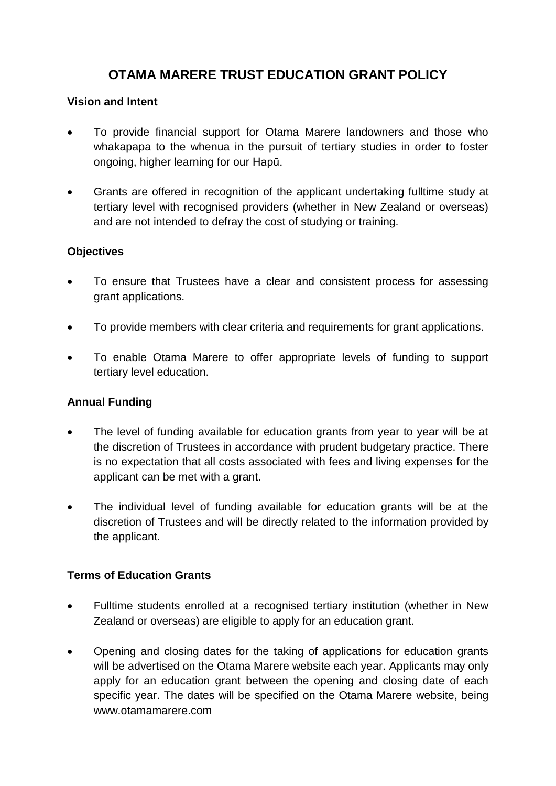# **OTAMA MARERE TRUST EDUCATION GRANT POLICY**

#### **Vision and Intent**

- To provide financial support for Otama Marere landowners and those who whakapapa to the whenua in the pursuit of tertiary studies in order to foster ongoing, higher learning for our Hapū.
- Grants are offered in recognition of the applicant undertaking fulltime study at tertiary level with recognised providers (whether in New Zealand or overseas) and are not intended to defray the cost of studying or training.

#### **Objectives**

- To ensure that Trustees have a clear and consistent process for assessing grant applications.
- To provide members with clear criteria and requirements for grant applications.
- To enable Otama Marere to offer appropriate levels of funding to support tertiary level education.

## **Annual Funding**

- The level of funding available for education grants from year to year will be at the discretion of Trustees in accordance with prudent budgetary practice. There is no expectation that all costs associated with fees and living expenses for the applicant can be met with a grant.
- The individual level of funding available for education grants will be at the discretion of Trustees and will be directly related to the information provided by the applicant.

#### **Terms of Education Grants**

- Fulltime students enrolled at a recognised tertiary institution (whether in New Zealand or overseas) are eligible to apply for an education grant.
- Opening and closing dates for the taking of applications for education grants will be advertised on the Otama Marere website each year. Applicants may only apply for an education grant between the opening and closing date of each specific year. The dates will be specified on the Otama Marere website, being [www.otamamarere.com](http://www.otamamarere.com/)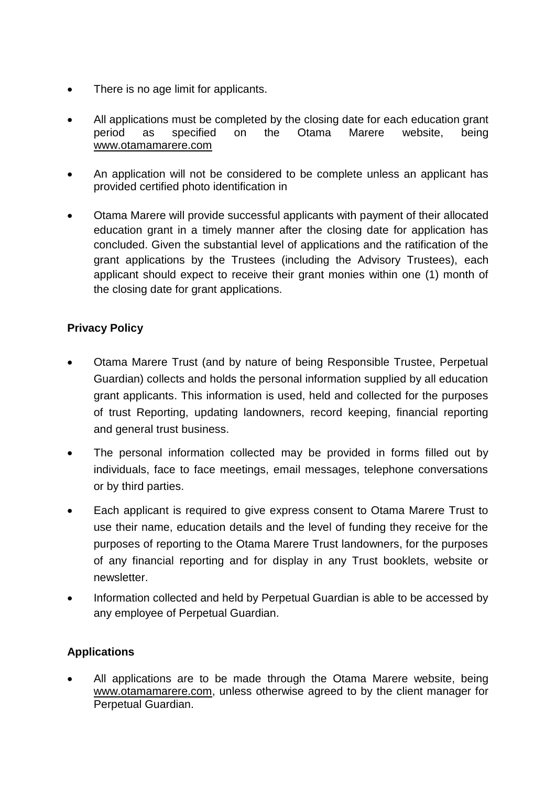- There is no age limit for applicants.
- All applications must be completed by the closing date for each education grant period as specified on the Otama Marere website, being [www.otamamarere.com](http://www.otamamarere.com/)
- An application will not be considered to be complete unless an applicant has provided certified photo identification in
- Otama Marere will provide successful applicants with payment of their allocated education grant in a timely manner after the closing date for application has concluded. Given the substantial level of applications and the ratification of the grant applications by the Trustees (including the Advisory Trustees), each applicant should expect to receive their grant monies within one (1) month of the closing date for grant applications.

### **Privacy Policy**

- Otama Marere Trust (and by nature of being Responsible Trustee, Perpetual Guardian) collects and holds the personal information supplied by all education grant applicants. This information is used, held and collected for the purposes of trust Reporting, updating landowners, record keeping, financial reporting and general trust business.
- The personal information collected may be provided in forms filled out by individuals, face to face meetings, email messages, telephone conversations or by third parties.
- Each applicant is required to give express consent to Otama Marere Trust to use their name, education details and the level of funding they receive for the purposes of reporting to the Otama Marere Trust landowners, for the purposes of any financial reporting and for display in any Trust booklets, website or newsletter.
- Information collected and held by Perpetual Guardian is able to be accessed by any employee of Perpetual Guardian.

#### **Applications**

 All applications are to be made through the Otama Marere website, being [www.otamamarere.com,](http://www.otamamarere.com/) unless otherwise agreed to by the client manager for Perpetual Guardian.